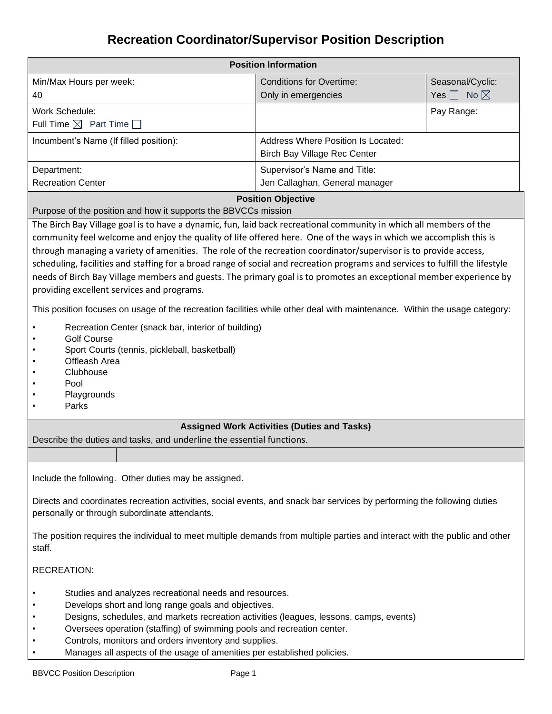# **Recreation Coordinator/Supervisor Position Description**

| <b>Position Information</b>                                                                                                                                                                                                                                                                                                                                                                                                                                                                                                                                                                                                                                      |                                                                                  |                           |  |  |
|------------------------------------------------------------------------------------------------------------------------------------------------------------------------------------------------------------------------------------------------------------------------------------------------------------------------------------------------------------------------------------------------------------------------------------------------------------------------------------------------------------------------------------------------------------------------------------------------------------------------------------------------------------------|----------------------------------------------------------------------------------|---------------------------|--|--|
| Min/Max Hours per week:                                                                                                                                                                                                                                                                                                                                                                                                                                                                                                                                                                                                                                          | <b>Conditions for Overtime:</b>                                                  | Seasonal/Cyclic:          |  |  |
| 40                                                                                                                                                                                                                                                                                                                                                                                                                                                                                                                                                                                                                                                               | Only in emergencies                                                              | Yes $\Box$ No $\boxtimes$ |  |  |
| <b>Work Schedule:</b>                                                                                                                                                                                                                                                                                                                                                                                                                                                                                                                                                                                                                                            |                                                                                  | Pay Range:                |  |  |
| Full Time $\boxtimes$ Part Time $\Box$                                                                                                                                                                                                                                                                                                                                                                                                                                                                                                                                                                                                                           |                                                                                  |                           |  |  |
| Incumbent's Name (If filled position):                                                                                                                                                                                                                                                                                                                                                                                                                                                                                                                                                                                                                           | <b>Address Where Position Is Located:</b><br><b>Birch Bay Village Rec Center</b> |                           |  |  |
| Department:                                                                                                                                                                                                                                                                                                                                                                                                                                                                                                                                                                                                                                                      | Supervisor's Name and Title:                                                     |                           |  |  |
| <b>Recreation Center</b>                                                                                                                                                                                                                                                                                                                                                                                                                                                                                                                                                                                                                                         | Jen Callaghan, General manager                                                   |                           |  |  |
| Purpose of the position and how it supports the BBVCCs mission                                                                                                                                                                                                                                                                                                                                                                                                                                                                                                                                                                                                   | <b>Position Objective</b>                                                        |                           |  |  |
| The Birch Bay Village goal is to have a dynamic, fun, laid back recreational community in which all members of the<br>community feel welcome and enjoy the quality of life offered here. One of the ways in which we accomplish this is<br>through managing a variety of amenities. The role of the recreation coordinator/supervisor is to provide access,<br>scheduling, facilities and staffing for a broad range of social and recreation programs and services to fulfill the lifestyle<br>needs of Birch Bay Village members and guests. The primary goal is to promotes an exceptional member experience by<br>providing excellent services and programs. |                                                                                  |                           |  |  |
| This position focuses on usage of the recreation facilities while other deal with maintenance. Within the usage category:<br>Recreation Center (snack bar, interior of building)<br><b>Golf Course</b><br>Sport Courts (tennis, pickleball, basketball)<br>Offleash Area<br>Clubhouse<br>Pool<br>Playgrounds<br>Parks                                                                                                                                                                                                                                                                                                                                            |                                                                                  |                           |  |  |
| Describe the duties and tasks, and underline the essential functions.                                                                                                                                                                                                                                                                                                                                                                                                                                                                                                                                                                                            | <b>Assigned Work Activities (Duties and Tasks)</b>                               |                           |  |  |
|                                                                                                                                                                                                                                                                                                                                                                                                                                                                                                                                                                                                                                                                  |                                                                                  |                           |  |  |
| Include the following. Other duties may be assigned.                                                                                                                                                                                                                                                                                                                                                                                                                                                                                                                                                                                                             |                                                                                  |                           |  |  |
| Directs and coordinates recreation activities, social events, and snack bar services by performing the following duties<br>personally or through subordinate attendants.                                                                                                                                                                                                                                                                                                                                                                                                                                                                                         |                                                                                  |                           |  |  |
| The position requires the individual to meet multiple demands from multiple parties and interact with the public and other<br>staff.                                                                                                                                                                                                                                                                                                                                                                                                                                                                                                                             |                                                                                  |                           |  |  |
| <b>RECREATION:</b>                                                                                                                                                                                                                                                                                                                                                                                                                                                                                                                                                                                                                                               |                                                                                  |                           |  |  |
| Studies and analyzes recreational needs and resources.<br>Develops short and long range goals and objectives.<br>Designs, schedules, and markets recreation activities (leagues, lessons, camps, events)<br>Oversees operation (staffing) of swimming pools and recreation center.<br>Controls, monitors and orders inventory and supplies.<br>Manages all aspects of the usage of amenities per established policies.                                                                                                                                                                                                                                           |                                                                                  |                           |  |  |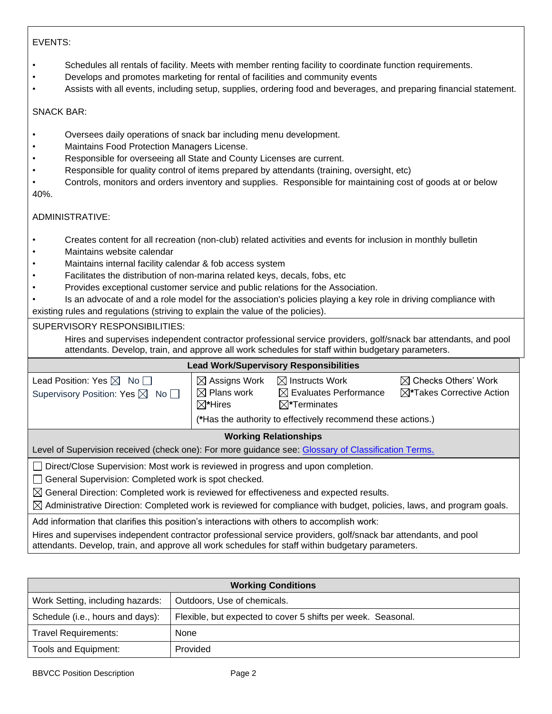## EVENTS:

- Schedules all rentals of facility. Meets with member renting facility to coordinate function requirements.
- Develops and promotes marketing for rental of facilities and community events
- Assists with all events, including setup, supplies, ordering food and beverages, and preparing financial statement.

### SNACK BAR:

- Oversees daily operations of snack bar including menu development.
- Maintains Food Protection Managers License.
- Responsible for overseeing all State and County Licenses are current.
- Responsible for quality control of items prepared by attendants (training, oversight, etc)
- Controls, monitors and orders inventory and supplies. Responsible for maintaining cost of goods at or below 40%.

## ADMINISTRATIVE:

- Creates content for all recreation (non-club) related activities and events for inclusion in monthly bulletin
- Maintains website calendar
- Maintains internal facility calendar & fob access system
- Facilitates the distribution of non-marina related keys, decals, fobs, etc
- Provides exceptional customer service and public relations for the Association.
- Is an advocate of and a role model for the association's policies playing a key role in driving compliance with

existing rules and regulations (striving to explain the value of the policies).

#### SUPERVISORY RESPONSIBILITIES:

Hires and supervises independent contractor professional service providers, golf/snack bar attendants, and pool attendants. Develop, train, and approve all work schedules for staff within budgetary parameters.

#### **Lead Work/Supervisory Responsibilities**

| Lead Position: Yes $\boxtimes$ No $\Box$<br>Supervisory Position: Yes $\boxtimes$ No $\Box$                                                                                                                                                                                                                                                                                        | $\boxtimes$ Assigns Work<br>$\boxtimes$ Plans work<br>$\boxtimes^*$ Hires | $\boxtimes$ Instructs Work<br>$\boxtimes$ Evaluates Performance<br>$\boxtimes^*$ Terminates | $\boxtimes$ Checks Others' Work<br>$\boxtimes^*$ Takes Corrective Action |  |
|------------------------------------------------------------------------------------------------------------------------------------------------------------------------------------------------------------------------------------------------------------------------------------------------------------------------------------------------------------------------------------|---------------------------------------------------------------------------|---------------------------------------------------------------------------------------------|--------------------------------------------------------------------------|--|
|                                                                                                                                                                                                                                                                                                                                                                                    |                                                                           | (*Has the authority to effectively recommend these actions.)                                |                                                                          |  |
| <b>Working Relationships</b>                                                                                                                                                                                                                                                                                                                                                       |                                                                           |                                                                                             |                                                                          |  |
| Level of Supervision received (check one): For more guidance see: Glossary of Classification Terms.                                                                                                                                                                                                                                                                                |                                                                           |                                                                                             |                                                                          |  |
| □ Direct/Close Supervision: Most work is reviewed in progress and upon completion.<br>General Supervision: Completed work is spot checked.<br>$\boxtimes$ General Direction: Completed work is reviewed for effectiveness and expected results.<br>$\boxtimes$ Administrative Direction: Completed work is reviewed for compliance with budget, policies, laws, and program goals. |                                                                           |                                                                                             |                                                                          |  |
| Add information that clarifies this position's interactions with others to accomplish work:                                                                                                                                                                                                                                                                                        |                                                                           |                                                                                             |                                                                          |  |
| <u>Tillar and sin sailsre ladensadent sentariten anderslend semiler menidens mell'haved: ben etten dente mend med</u>                                                                                                                                                                                                                                                              |                                                                           |                                                                                             |                                                                          |  |

Hires and supervises independent contractor professional service providers, golf/snack bar attendants, and pool attendants. Develop, train, and approve all work schedules for staff within budgetary parameters.

| <b>Working Conditions</b>        |                                                              |  |
|----------------------------------|--------------------------------------------------------------|--|
| Work Setting, including hazards: | Outdoors, Use of chemicals.                                  |  |
| Schedule (i.e., hours and days): | Flexible, but expected to cover 5 shifts per week. Seasonal. |  |
| <b>Travel Requirements:</b>      | <b>None</b>                                                  |  |
| Tools and Equipment:             | Provided                                                     |  |